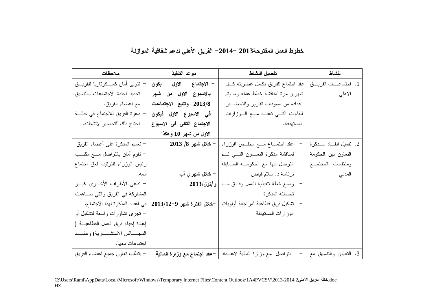خطوط العمل المفترحة2013 –2014– الفريق الأهلي لدعم شفافية الموازنة

| ملاحظات                                  | موعد التنفيذ                                                 | تفصيل النشاط                                                               | لنشاط                  |
|------------------------------------------|--------------------------------------------------------------|----------------------------------------------------------------------------|------------------------|
| نتولى أمان كســكرناريا للفريـــق         | – الا <b>جتم</b> اع الاول يكون                               | 1. اجتماعــــات الفريـــــــق   عقد اجتماع للفريق بكامل عضويته كــــل      |                        |
| تحديد اجندة الاجتماعات بالتنسيق          | بالاسبوع الاول من شهر                                        | شهرين مرة لمناقشة خطط عمله وما يتم                                         | الاهلي                 |
| مع اعضاء الفريق.                         | 2013/8 وتتبع الاجتماعات                                      | اعداده من مسودات نقارير وللتحضـــير                                        |                        |
| – دعوة الفريق للاجتماع في حالة           | في الاسبوع الاول فيكون                                       | للقاءات النسى نعقـد مــع الــوزارات                                        |                        |
| احتاج ذلك للتحضير الانشطته.              | الاجتماع التالي في الاسبوع                                   | المستهدفة.                                                                 |                        |
|                                          | الاول من شـهر 10 وهكذا                                       |                                                                            |                        |
| – تعميم المذكرة على أعضاء الفريق         | – خلال شهر 8/ 2013                                           | عقد اجتمــاع مــع مجلــس الوزراء                                           | 2. تفعيل انفاذ مــذكرة |
| – نقوم أمان بالنواصل مـــع مكتـــب       |                                                              | لمناقشة مذكرة النعساون التسى تسم                                           | التعاون ببن الحكومة    |
| رئيس الوزراء للترتيب لعق اجتماع          |                                                              | النوصل ليها مع الحكومة الســابقة                                           | ومنظمات المجتمع        |
| معه.                                     |                                                              |                                                                            | المدني                 |
| – تدعى الأطراف الأخـــرى غيـــر          |                                                              | وضع خطة نتفيذية للعمل وفـــق مــــا   وأيلول/2013                          |                        |
| المشاركة في الفريق والتي ســاهمت         |                                                              | تضمنته المذكر ة                                                            |                        |
|                                          | —فلال الفترة شهر 9—2013/12   في اعداد المذكرة لهذا الاجتماع. | –   نشكيل فرق قطاعية لمراجعة أولويات                                       |                        |
| – نـجرى نشاورات واسعة لنشكيل أو          |                                                              | الوزارات المستهدفة                                                         |                        |
| إعادة إحياء فرق العمل القطاعيــة (       |                                                              |                                                                            |                        |
| المجـــــالس الاستشــــــارية) وعقـــــد |                                                              |                                                                            |                        |
| اجتماعات معها.                           |                                                              |                                                                            |                        |
| – يتطلب نعاون جميع اعضاء الفريق          |                                                              | النواصل  مع وزارة المالية لاعـــداد   – <b>عقد اجتماع مع وزارة المالية</b> | 3. النعاون والنتسيق مع |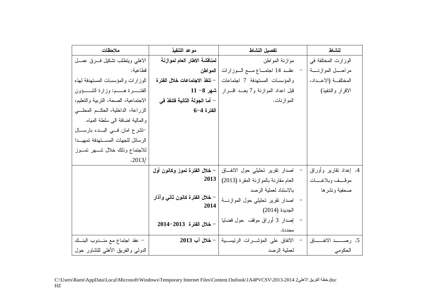| ملاحظات                                    | موعد التنفيذ                           | تفصيل النشاط                                         | لنشاط                      |
|--------------------------------------------|----------------------------------------|------------------------------------------------------|----------------------------|
| الاهلى وينطلب نشكيل فسرق عمسل              | لمناقشة الاطار العام لموازنة           | موازنة المواطن                                       | الوزارت المختلفة في        |
| قطاعية.                                    | المواطن                                | عقــد 14 اجتمــاع مـــع الــوزارات                   | مراحـــل الموازنــــة      |
| الوزارات والمؤسسات المستهدفة لهذه          | – تنفذ الاجتماعات خلال الفترة          | والمؤسسات المستهدفة 7 اجتماعات                       | المختلفة (الاعــداد،       |
| الفتـــــــرة هــــــم: وزارة الشــــــؤون |                                        | قبل اعداد الموازنة و7 بعــد اقــــرار   شهر 8– 11    | الاقرار والنتفيذ)          |
| الاجتماعية، الصحة، التربية والتعليم،       | – أما الجولة الثانية فتنفذ في          | الموازنات.                                           |                            |
| الزراعة، الداخلية، الحكــم المحلـــي       | $6 - 4$ الفترة                         |                                                      |                            |
| والمالية اضافة الى سلطة المياه.            |                                        |                                                      |                            |
| تتشرع امان في البدء بارسال                 |                                        |                                                      |                            |
| الرسائل للجهات المستهدفة تمهيدا            |                                        |                                                      |                            |
| للاجتماع وذلك خلال شسهر تمسوز              |                                        |                                                      |                            |
| .2013/                                     |                                        |                                                      |                            |
|                                            | – خلال الفترة تموز وكانون أول          | - اصدار نقرير تحليلي حول الانفاق                     | 4. إعداد نقارير وأوراق     |
|                                            | 2013                                   | العام مقارنة بالموازنة المقرة (2013)                 | موقسف وبلاغسات             |
|                                            |                                        | بالاستناد لعملية الرصد                               | صحفية ونشرها               |
|                                            | – خلال الفترة كانون ثانى وآذار<br>2014 | اصدار نقرير نحليلي حول الموازنـــة                   |                            |
|                                            |                                        | الجديدة (2014)                                       |                            |
|                                            | - خلال الفترة 2013-2014                | – إصدار 3 أوراق موقف حول قضايا                       |                            |
|                                            |                                        | محددة.                                               |                            |
| – عقد اجتماع مع منـــدوب البنـــك          |                                        | الاتفاق على المؤشـــرات الرئيســـية   – خلال آب 2013 | 5. رصـــــد الانفـــــــاق |
| الدولبي والفريق الأهلبي للتشاور حول        |                                        | لعملية الرصد                                         | الحكومي                    |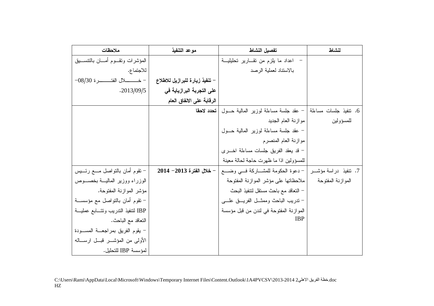| ملاحظات                                | موعد التنفيذ                      | تفصيل النشاط                                                    | لنشاط             |
|----------------------------------------|-----------------------------------|-----------------------------------------------------------------|-------------------|
| المؤشرات وتقسوم أمسان بالتنسسيق        |                                   | –  اعداد ما يلزم من تقـــارير تحليليـــة                        |                   |
| للاجتماع.                              |                                   | بالاستناد لعملية الرصد                                          |                   |
|                                        | – تنفيذ زيارة للبرازيل للاطلاع    |                                                                 |                   |
| .2013/09/5                             | على التجربة البرازياية ف <i>ي</i> |                                                                 |                   |
|                                        | الرقابة على الانفاق العام         |                                                                 |                   |
|                                        | تحدد لاحقا                        | 6. نتفيذ جلسات مساءلمة   – عقد جلسة مساءلة لوزير المالية حـــول |                   |
|                                        |                                   | موازنة العام الجديد                                             | للمسؤولين         |
|                                        |                                   | – عقد جلسة مساءلة لوزير المالية حــول                           |                   |
|                                        |                                   | موازنة العام المنصرم                                            |                   |
|                                        |                                   | - قد يعقد الفريق جلسات مساءلة اخـــرى                           |                   |
|                                        |                                   | للمسؤولين اذا ما ظهرت حاجة لحالة معينة                          |                   |
| – نقوم أمان بالنواصل مـــع رئــــيس    |                                   |                                                                 |                   |
| الوزراء ووزبر المالية بخصوص            |                                   | ملاحظاتها على مؤشر الموازنة المفتوحة                            | الموازنة المفتوحة |
| مؤشر الموازنة المفتوحة.                |                                   | – النعاقد مع باحث مسنقل لننفيذ البحث                            |                   |
| – نقوم أمان بالنواصل مع مؤسســة        |                                   | – ندريب الباحث وممثـــل الفريــــق علـــــى                     |                   |
| IBP لتنفيذ الندريب ونتسابع عمليــة     |                                   | الموازنة المفتوحة في لندن من قبل مؤسسة                          |                   |
| النعاقد مع الباحث.                     |                                   | <b>IBP</b>                                                      |                   |
| – يقوم الفريق بمراجعــة المســـودة     |                                   |                                                                 |                   |
| الأولىي من المؤشـــر قبـــل ارســـالـه |                                   |                                                                 |                   |
| لمؤسسة IBP للتحليل.                    |                                   |                                                                 |                   |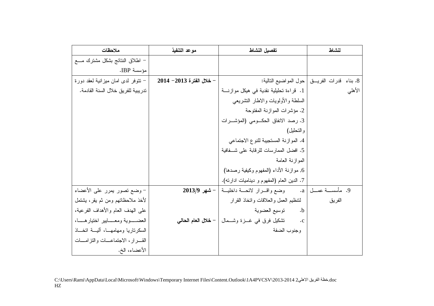| ملاحظات                                  | موعد التنفيذ                 | تفصيل النشاط                                                                  | لنشاط                                             |
|------------------------------------------|------------------------------|-------------------------------------------------------------------------------|---------------------------------------------------|
| – اطلاق النتائج بشكل مشترك مــــع        |                              |                                                                               |                                                   |
| مؤسسة IBP.                               |                              |                                                                               |                                                   |
| – نتوفر لدى امان ميزانية لعقد دورة       | $-2014 - 2013$ خلال الفترة 3 |                                                                               | 8. بناء ً قدرات الفريـــق   حول المواضيع التالية: |
| تدريبية للفريق خلال السنة القادمة.       |                              | 1. قراءة تحليلية نقدية في هيكل موازنة                                         | الأهلبي                                           |
|                                          |                              | السلطة والأولويات والاطار النشريعي                                            |                                                   |
|                                          |                              | 2. مؤشرات الموازنة المفتوحة                                                   |                                                   |
|                                          |                              | 3. رصد الانفاق الحكومي (المؤشرات                                              |                                                   |
|                                          |                              | و التحليل)                                                                    |                                                   |
|                                          |                              | 4. الموازنة المستجيبة للنوع الاجتماعي                                         |                                                   |
|                                          |                              | 5. افضل الممارسات للرقابة على شـــفافية                                       |                                                   |
|                                          |                              | الممو ازنة العامة                                                             |                                                   |
|                                          |                              | 6, موازنة الأداء (المفهوم وكيفية رصدها)                                       |                                                   |
|                                          |                              | 7. الدين العام (المفهوم و ديناميات ادارنه).                                   |                                                   |
| – وضع نصور يمرر على الأعضاء              |                              | 9. مأسســـة عمـــل   a.       وضع واقـــرار لائحـــة داخليـــة   – شهر 2013/9 |                                                   |
| لأخذ ملاحظاتهم ومن ثم يقر، يشتمل         |                              | لنتظيم العمل والعلاقات وانخاذ القرار                                          | الفريق                                            |
| علىي البهدف العام والأهداف الفرعية،      |                              | نوسيع العضوية<br>$\cdot$ .b                                                   |                                                   |
| العضــــوية ومعــــايير اختيارهــــا،    |                              | تشكيل فرق في غـــزة وشــــمال   – <b>خـلال الـعام الـحالـي</b><br>$\cdot c$   |                                                   |
| السكرناريا ومهامهــا، أليـــة انخـــاذ   |                              | وجنوب الضفة                                                                   |                                                   |
| القــــرار، الاجتماعــــات والتزامــــات |                              |                                                                               |                                                   |
| الأعضاء، الخ.                            |                              |                                                                               |                                                   |